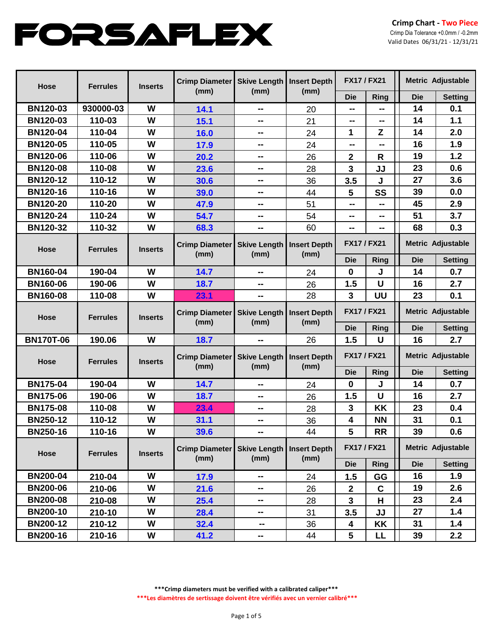| <b>Hose</b>      | <b>Ferrules</b> | <b>Inserts</b> | <b>Crimp Diameter</b><br>Skive Length   Insert Depth<br>(mm)<br>(mm) |                             | <b>FX17 / FX21</b>          |                  | Metric Adjustable |                          |                |
|------------------|-----------------|----------------|----------------------------------------------------------------------|-----------------------------|-----------------------------|------------------|-------------------|--------------------------|----------------|
|                  |                 |                |                                                                      |                             | (mm)                        | <b>Die</b>       | <b>Ring</b>       | <b>Die</b>               | <b>Setting</b> |
| <b>BN120-03</b>  | 930000-03       | W              | 14.1                                                                 | --                          | 20                          | --               | --                | 14                       | 0.1            |
| <b>BN120-03</b>  | 110-03          | W              | 15.1                                                                 | --                          | 21                          | --               | --                | 14                       | 1.1            |
| <b>BN120-04</b>  | 110-04          | W              | 16.0                                                                 | --                          | 24                          | 1                | Z                 | 14                       | 2.0            |
| <b>BN120-05</b>  | 110-05          | W              | 17.9                                                                 | --                          | 24                          | --               | --                | 16                       | 1.9            |
| <b>BN120-06</b>  | 110-06          | W              | 20.2                                                                 | --                          | 26                          | 2                | $\mathsf{R}$      | 19                       | 1.2            |
| <b>BN120-08</b>  | 110-08          | W              | 23.6                                                                 | --                          | 28                          | 3                | JJ                | 23                       | 0.6            |
| <b>BN120-12</b>  | 110-12          | W              | 30.6                                                                 | --                          | 36                          | 3.5              | J                 | 27                       | 3.6            |
| <b>BN120-16</b>  | 110-16          | W              | 39.0                                                                 | $\sim$ $\sim$               | 44                          | 5                | SS                | 39                       | 0.0            |
| <b>BN120-20</b>  | 110-20          | W              | 47.9                                                                 | $\sim$ $\sim$               | 51                          | --               | --                | 45                       | 2.9            |
| <b>BN120-24</b>  | 110-24          | W              | 54.7                                                                 | --                          | 54                          | --               | ⊷                 | 51                       | 3.7            |
| <b>BN120-32</b>  | 110-32          | W              | 68.3                                                                 | --                          | 60                          | --               | --                | 68                       | 0.3            |
| <b>Hose</b>      | <b>Ferrules</b> | <b>Inserts</b> | <b>Crimp Diameter</b><br>(mm)                                        | <b>Skive Length</b><br>(mm) | <b>Insert Depth</b><br>(mm) | <b>FX17/FX21</b> |                   | Metric Adjustable        |                |
|                  |                 |                |                                                                      |                             |                             | <b>Die</b>       | Ring              | <b>Die</b>               | <b>Setting</b> |
| <b>BN160-04</b>  | 190-04          | W              | 14.7                                                                 | --                          | 24                          | $\mathbf 0$      | J                 | 14                       | 0.7            |
| <b>BN160-06</b>  | 190-06          | W              | 18.7                                                                 | --                          | 26                          | 1.5              | U                 | 16                       | 2.7            |
| <b>BN160-08</b>  | 110-08          | W              | 23.1                                                                 | --                          | 28                          | 3                | UU                | 23                       | 0.1            |
| <b>Hose</b>      | <b>Ferrules</b> | <b>Inserts</b> | <b>Crimp Diameter</b><br>(mm)                                        | <b>Skive Length</b><br>(mm) | <b>Insert Depth</b><br>(mm) | <b>FX17/FX21</b> |                   | Metric Adjustable        |                |
|                  |                 |                |                                                                      |                             |                             | <b>Die</b>       | Ring              | <b>Die</b>               | <b>Setting</b> |
| <b>BN170T-06</b> | 190.06          | W              | 18.7                                                                 |                             | 26                          | 1.5              | U                 | 16                       | 2.7            |
| <b>Hose</b>      | <b>Ferrules</b> | <b>Inserts</b> | <b>Crimp Diameter</b><br>(mm)                                        | <b>Skive Length</b><br>(mm) | <b>Insert Depth</b><br>(mm) | <b>FX17/FX21</b> |                   | Metric Adjustable        |                |
|                  |                 |                |                                                                      |                             |                             | <b>Die</b>       | Ring              | <b>Die</b>               | <b>Setting</b> |
| <b>BN175-04</b>  | 190-04          | W              | 14.7                                                                 | --                          | 24                          | 0                | J                 | 14                       | 0.7            |
| <b>BN175-06</b>  | 190-06          | W              | 18.7                                                                 | --                          | 26                          | 1.5              | U                 | 16                       | 2.7            |
| <b>BN175-08</b>  | 110-08          | W              | 23.4                                                                 | --                          | 28                          | 3                | KK                | 23                       | 0.4            |
| <b>BN250-12</b>  | 110-12          | W              | 31.1                                                                 | --                          | 36                          | 4                | <b>NN</b>         | 31                       | 0.1            |
| <b>BN250-16</b>  | 110-16          | W              | 39.6                                                                 | --                          | 44                          | 5                | <b>RR</b>         | 39                       | 0.6            |
| <b>Hose</b>      | <b>Ferrules</b> | <b>Inserts</b> | <b>Crimp Diameter</b><br>(mm)                                        | <b>Skive Length</b><br>(mm) | <b>Insert Depth</b><br>(mm) | <b>FX17/FX21</b> |                   | <b>Metric Adjustable</b> |                |
|                  |                 |                |                                                                      |                             |                             | <b>Die</b>       | Ring              | <b>Die</b>               | <b>Setting</b> |
| <b>BN200-04</b>  | 210-04          | W              | 17.9                                                                 | --                          | 24                          | 1.5              | GG                | 16                       | 1.9            |
| <b>BN200-06</b>  | 210-06          | W              | 21.6                                                                 | --                          | 26                          | $\mathbf{2}$     | $\mathbf c$       | 19                       | 2.6            |
| <b>BN200-08</b>  | 210-08          | W              | 25.4                                                                 | --                          | 28                          | 3                | H                 | 23                       | 2.4            |
| <b>BN200-10</b>  | 210-10          | W              | 28.4                                                                 | --                          | 31                          | 3.5              | JJ                | 27                       | 1.4            |
| <b>BN200-12</b>  | 210-12          | W              | 32.4                                                                 | --                          | 36                          | 4                | KK                | 31                       | 1.4            |
| <b>BN200-16</b>  | 210-16          | W              | 41.2                                                                 | --                          | 44                          | 5                | LL.               | 39                       | 2.2            |

**\*\*\*Crimp diameters must be verified with a calibrated caliper\*\*\***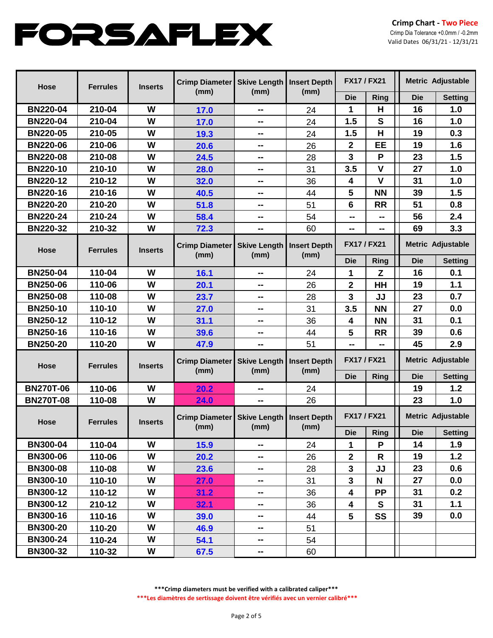| <b>Hose</b>      | <b>Ferrules</b> | <b>Inserts</b> | <b>Crimp Diameter</b><br>(mm) | Skive Length   Insert Depth<br>(mm)        | (mm) | <b>FX17/FX21</b>        |              | <b>Metric Adjustable</b> |                |
|------------------|-----------------|----------------|-------------------------------|--------------------------------------------|------|-------------------------|--------------|--------------------------|----------------|
|                  |                 |                |                               |                                            |      | <b>Die</b>              | Ring         | <b>Die</b>               | <b>Setting</b> |
| <b>BN220-04</b>  | 210-04          | W              | 17.0                          | ⊷                                          | 24   | 1                       | н            | 16                       | 1.0            |
| <b>BN220-04</b>  | 210-04          | W              | 17.0                          | --                                         | 24   | 1.5                     | S            | 16                       | 1.0            |
| <b>BN220-05</b>  | 210-05          | W              | 19.3                          | --                                         | 24   | 1.5                     | H            | 19                       | 0.3            |
| <b>BN220-06</b>  | 210-06          | W              | 20.6                          | --                                         | 26   | $\mathbf{2}$            | EE           | 19                       | 1.6            |
| <b>BN220-08</b>  | 210-08          | W              | 24.5                          | ⊷                                          | 28   | $\overline{\mathbf{3}}$ | P            | 23                       | 1.5            |
| <b>BN220-10</b>  | 210-10          | W              | 28.0                          | --                                         | 31   | 3.5                     | $\mathsf{V}$ | 27                       | 1.0            |
| <b>BN220-12</b>  | 210-12          | W              | 32.0                          | --                                         | 36   | 4                       | $\mathsf{V}$ | 31                       | 1.0            |
| <b>BN220-16</b>  | 210-16          | W              | 40.5                          | --                                         | 44   | 5                       | <b>NN</b>    | 39                       | 1.5            |
| <b>BN220-20</b>  | 210-20          | W              | 51.8                          | $\sim$                                     | 51   | 6                       | <b>RR</b>    | 51                       | 0.8            |
| <b>BN220-24</b>  | 210-24          | W              | 58.4                          | --                                         | 54   | --                      | --           | 56                       | 2.4            |
| <b>BN220-32</b>  | 210-32          | W              | 72.3                          | --                                         | 60   | --                      | --           | 69                       | 3.3            |
| <b>Hose</b>      | <b>Ferrules</b> | <b>Inserts</b> | <b>Crimp Diameter</b><br>(mm) | <b>Skive Length   Insert Depth</b><br>(mm) | (mm) | <b>FX17/FX21</b>        |              | <b>Metric Adjustable</b> |                |
|                  |                 |                |                               |                                            |      | <b>Die</b>              | Ring         | <b>Die</b>               | <b>Setting</b> |
| <b>BN250-04</b>  | 110-04          | W              | 16.1                          | ⊷                                          | 24   | 1                       | Z            | 16                       | 0.1            |
| <b>BN250-06</b>  | 110-06          | W              | 20.1                          | --                                         | 26   | $\mathbf 2$             | HH           | 19                       | 1.1            |
| <b>BN250-08</b>  | 110-08          | W              | 23.7                          | --                                         | 28   | 3                       | JJ           | 23                       | 0.7            |
| <b>BN250-10</b>  | 110-10          | W              | 27.0                          | --                                         | 31   | 3.5                     | <b>NN</b>    | 27                       | 0.0            |
| <b>BN250-12</b>  | 110-12          | W              | 31.1                          | --                                         | 36   | 4                       | <b>NN</b>    | 31                       | 0.1            |
| <b>BN250-16</b>  | 110-16          | W              | 39.6                          | н.                                         | 44   | 5                       | <b>RR</b>    | 39                       | 0.6            |
| <b>BN250-20</b>  | 110-20          | W              | 47.9                          | --                                         | 51   | --                      | --           | 45                       | 2.9            |
| <b>Hose</b>      | <b>Ferrules</b> | <b>Inserts</b> | <b>Crimp Diameter</b><br>(mm) | <b>Skive Length   Insert Depth</b><br>(mm) | (mm) | <b>FX17/FX21</b>        |              | Metric Adjustable        |                |
|                  |                 |                |                               |                                            |      | <b>Die</b>              | <b>Ring</b>  | <b>Die</b>               | <b>Setting</b> |
| <b>BN270T-06</b> | 110-06          | W              | 20.2                          | --                                         | 24   |                         |              | 19                       | 1.2            |
| <b>BN270T-08</b> | 110-08          | W              | 24.0                          | --                                         | 26   |                         |              | 23                       | 1.0            |
| <b>Hose</b>      | <b>Ferrules</b> | <b>Inserts</b> | <b>Crimp Diameter</b><br>(mm) | <b>Skive Length   Insert Depth</b><br>(mm) | (mm) | <b>FX17/FX21</b>        |              | Metric Adjustable        |                |
|                  |                 |                |                               |                                            |      | <b>Die</b>              | Ring         | <b>Die</b>               | Setting        |
| <b>BN300-04</b>  | 110-04          | W              | 15.9                          | $\sim$                                     | 24   | 1                       | P            | 14                       | 1.9            |
| <b>BN300-06</b>  | 110-06          | W              | 20.2                          | $\sim$                                     | 26   | $\overline{\mathbf{2}}$ | $\mathsf{R}$ | 19                       | 1.2            |
| <b>BN300-08</b>  | 110-08          | W              | 23.6                          | ⊷                                          | 28   | 3                       | JJ           | 23                       | 0.6            |
| <b>BN300-10</b>  | 110-10          | W              | 27.0                          | $\sim$                                     | 31   | $\overline{\mathbf{3}}$ | $\mathbf N$  | 27                       | 0.0            |
| <b>BN300-12</b>  | 110-12          | W              | 31.2                          | н.                                         | 36   | 4                       | <b>PP</b>    | 31                       | 0.2            |
| <b>BN300-12</b>  | 210-12          | W              | 32.1                          | $\sim$                                     | 36   | 4                       | ${\bf S}$    | 31                       | 1.1            |
| <b>BN300-16</b>  | 110-16          | W              | 39.0                          | $\sim$                                     | 44   | 5                       | SS           | 39                       | 0.0            |
| <b>BN300-20</b>  | 110-20          | W              | 46.9                          | н.                                         | 51   |                         |              |                          |                |
| <b>BN300-24</b>  | 110-24          | W              | 54.1                          | $\sim$                                     | 54   |                         |              |                          |                |
| <b>BN300-32</b>  | 110-32          | W              | 67.5                          | н.                                         | 60   |                         |              |                          |                |

**\*\*\*Crimp diameters must be verified with a calibrated caliper\*\*\***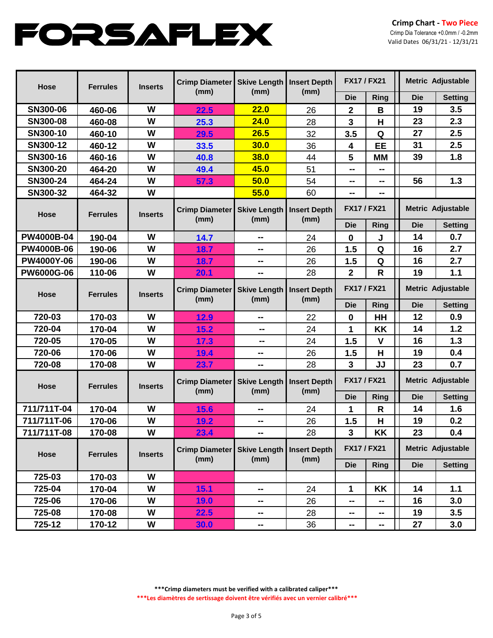| <b>Hose</b>       | <b>Ferrules</b> | <b>Inserts</b> | <b>Crimp Diameter</b>         | Skive Length   Insert Depth<br>(mm) | (mm)                        | <b>FX17 / FX21</b>      |              | <b>Metric Adjustable</b> |                |
|-------------------|-----------------|----------------|-------------------------------|-------------------------------------|-----------------------------|-------------------------|--------------|--------------------------|----------------|
|                   |                 |                | (mm)                          |                                     |                             | <b>Die</b>              | Ring         | <b>Die</b>               | <b>Setting</b> |
| SN300-06          | 460-06          | W              | 22.5                          | 22.0                                | 26                          | 2                       | B            | 19                       | 3.5            |
| SN300-08          | 460-08          | W              | 25.3                          | 24.0                                | 28                          | $\mathbf{3}$            | Н            | 23                       | 2.3            |
| SN300-10          | 460-10          | W              | 29.5                          | 26.5                                | 32                          | 3.5                     | Q            | 27                       | 2.5            |
| SN300-12          | 460-12          | W              | 33.5                          | 30.0                                | 36                          | $\overline{\mathbf{4}}$ | EE           | 31                       | 2.5            |
| SN300-16          | 460-16          | W              | 40.8                          | <b>38.0</b>                         | 44                          | 5                       | <b>MM</b>    | 39                       | 1.8            |
| SN300-20          | 464-20          | W              | 49.4                          | 45.0                                | 51                          | --                      | --           |                          |                |
| SN300-24          | 464-24          | W              | 57.3                          | 50.0                                | 54                          | --                      | --           | 56                       | 1.3            |
| SN300-32          | 464-32          | W              |                               | 55.0                                | 60                          | --                      | --           |                          |                |
| <b>Hose</b>       | <b>Ferrules</b> | <b>Inserts</b> | <b>Crimp Diameter</b>         | Skive Length   Insert Depth         |                             | <b>FX17/FX21</b>        |              | <b>Metric Adjustable</b> |                |
|                   |                 |                | (mm)                          | (mm)                                | (mm)                        | <b>Die</b>              | <b>Ring</b>  | <b>Die</b>               | <b>Setting</b> |
| <b>PW4000B-04</b> | 190-04          | W              | 14.7                          | --                                  | 24                          | $\mathbf 0$             | J            | 14                       | 0.7            |
| <b>PW4000B-06</b> | 190-06          | W              | 18.7                          | --                                  | 26                          | 1.5                     | Q            | 16                       | 2.7            |
| <b>PW4000Y-06</b> | 190-06          | W              | 18.7                          | --                                  | 26                          | 1.5                     | Q            | 16                       | 2.7            |
| <b>PW6000G-06</b> | 110-06          | W              | 20.1                          | --                                  | 28                          | $\overline{2}$          | R            | 19                       | $1.1$          |
| <b>Hose</b>       | <b>Ferrules</b> | <b>Inserts</b> | <b>Crimp Diameter</b><br>(mm) | Skive Length<br>(mm)                | <b>Insert Depth</b><br>(mm) | <b>FX17 / FX21</b>      |              | <b>Metric Adjustable</b> |                |
|                   |                 |                |                               |                                     |                             | <b>Die</b>              | <b>Ring</b>  | <b>Die</b>               | <b>Setting</b> |
| 720-03            | 170-03          | W              | 12.9                          | --                                  | 22                          | $\mathbf 0$             | HH           | 12                       | 0.9            |
| 720-04            | 170-04          | W              | 15.2                          | --                                  | 24                          | 1                       | KK           | 14                       | 1.2            |
| 720-05            | 170-05          | W              | 17.3                          | --                                  | 24                          | 1.5                     | $\mathsf{V}$ | 16                       | 1.3            |
| 720-06            | 170-06          | W              | 19.4                          | --                                  | 26                          | 1.5                     | H            | 19                       | 0.4            |
| 720-08            | 170-08          | W              | 23.7                          | --                                  | 28                          | $\overline{3}$          | JJ           | 23                       | 0.7            |
| <b>Hose</b>       | <b>Ferrules</b> | <b>Inserts</b> | <b>Crimp Diameter</b><br>(mm) | Skive Length   Insert Depth<br>(mm) | (mm)                        | <b>FX17 / FX21</b>      |              | <b>Metric Adjustable</b> |                |
|                   |                 |                |                               |                                     |                             | <b>Die</b>              | Ring         | <b>Die</b>               | <b>Setting</b> |
| 711/711T-04       | 170-04          | W              | 15.6                          | --                                  | 24                          | 1                       | R            | 14                       | 1.6            |
| 711/711T-06       | 170-06          | W              | 19.2                          | --                                  | 26                          | 1.5                     | H            | 19                       | 0.2            |
| 711/711T-08       | 170-08          | W              | 23.4                          | --                                  | 28                          | $\mathbf{3}$            | KK           | 23                       | 0.4            |
| Hose              | <b>Ferrules</b> | <b>Inserts</b> | Crimp Diameter<br>(mm)        | <b>Skive Length</b><br>(mm)         | <b>Insert Depth</b>         | <b>FX17 / FX21</b>      |              | <b>Metric Adjustable</b> |                |
|                   |                 |                |                               |                                     | (mm)                        | <b>Die</b>              | Ring         | <b>Die</b>               | <b>Setting</b> |
| 725-03            | 170-03          | W              |                               |                                     |                             |                         |              |                          |                |
| 725-04            | 170-04          | W              | 15.1                          | --                                  | 24                          | 1                       | KK           | 14                       | $1.1$          |
| 725-06            | 170-06          | W              | <b>19.0</b>                   | --                                  | 26                          | --                      |              | 16                       | 3.0            |
| 725-08            | 170-08          | W              | 22.5                          | --                                  | 28                          | --                      | --           | 19                       | 3.5            |
| 725-12            | 170-12          | W              | <b>30.0</b>                   | --                                  | 36                          | −−                      | ⊷            | 27                       | 3.0            |

**\*\*\*Crimp diameters must be verified with a calibrated caliper\*\*\***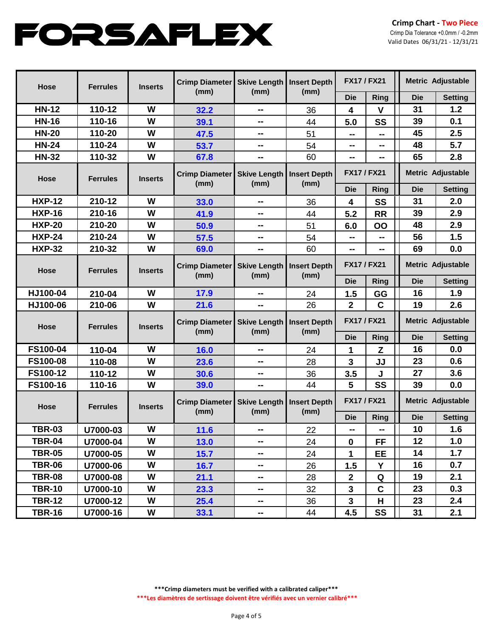| <b>Hose</b>     | <b>Ferrules</b> | <b>Inserts</b> | <b>Crimp Diameter</b><br>(mm) | Skive Length   Insert Depth<br>(mm)        | (mm)                        | <b>FX17/FX21</b>   |              | Metric Adjustable        |                          |
|-----------------|-----------------|----------------|-------------------------------|--------------------------------------------|-----------------------------|--------------------|--------------|--------------------------|--------------------------|
|                 |                 |                |                               |                                            |                             | <b>Die</b>         | Ring         | <b>Die</b>               | <b>Setting</b>           |
| <b>HN-12</b>    | 110-12          | W              | 32.2                          | ⊷                                          | 36                          | 4                  | $\mathsf{V}$ | 31                       | 1.2                      |
| <b>HN-16</b>    | 110-16          | W              | 39.1                          | --                                         | 44                          | 5.0                | SS           | 39                       | 0.1                      |
| <b>HN-20</b>    | 110-20          | W              | 47.5                          | --                                         | 51                          | --                 | --           | 45                       | 2.5                      |
| <b>HN-24</b>    | 110-24          | W              | 53.7                          | --                                         | 54                          | --                 | --           | 48                       | 5.7                      |
| <b>HN-32</b>    | 110-32          | W              | 67.8                          | --                                         | 60                          | --                 | --           | 65                       | 2.8                      |
| <b>Hose</b>     | <b>Ferrules</b> | <b>Inserts</b> | <b>Crimp Diameter</b><br>(mm) | <b>Skive Length   Insert Depth</b><br>(mm) | (mm)                        | <b>FX17 / FX21</b> |              |                          | <b>Metric Adjustable</b> |
|                 |                 |                |                               |                                            |                             | <b>Die</b>         | Ring         | <b>Die</b>               | <b>Setting</b>           |
| <b>HXP-12</b>   | 210-12          | W              | 33.0                          | --                                         | 36                          | 4                  | SS           | 31                       | 2.0                      |
| <b>HXP-16</b>   | 210-16          | W              | 41.9                          | --                                         | 44                          | 5.2                | <b>RR</b>    | 39                       | 2.9                      |
| <b>HXP-20</b>   | 210-20          | W              | 50.9                          | $\sim$                                     | 51                          | 6.0                | OO           | 48                       | 2.9                      |
| <b>HXP-24</b>   | 210-24          | W              | 57.5                          | --                                         | 54                          | --                 | --           | 56                       | 1.5                      |
| <b>HXP-32</b>   | 210-32          | W              | 69.0                          | --                                         | 60                          | --                 | --           | 69                       | 0.0                      |
| <b>Hose</b>     | <b>Ferrules</b> | <b>Inserts</b> | <b>Crimp Diameter</b><br>(mm) | <b>Skive Length   Insert Depth</b><br>(mm) | (mm)                        | <b>FX17 / FX21</b> |              | Metric Adjustable        |                          |
|                 |                 |                |                               |                                            |                             | <b>Die</b>         | Ring         | <b>Die</b>               | <b>Setting</b>           |
| HJ100-04        | 210-04          | W              | 17.9                          | ⊷                                          | 24                          | 1.5                | GG           | 16                       | 1.9                      |
| HJ100-06        | 210-06          | W              | 21.6                          | --                                         | 26                          | $\overline{2}$     | $\mathbf C$  | 19                       | 2.6                      |
| <b>Hose</b>     | <b>Ferrules</b> | <b>Inserts</b> | <b>Crimp Diameter</b><br>(mm) | <b>Skive Length</b><br>(mm)                | <b>Insert Depth</b><br>(mm) | <b>FX17/FX21</b>   |              | <b>Metric Adjustable</b> |                          |
|                 |                 |                |                               |                                            |                             | <b>Die</b>         | <b>Ring</b>  | <b>Die</b>               | <b>Setting</b>           |
| FS100-04        | 110-04          | W              | 16.0                          | --                                         | 24                          | 1                  | Z            | 16                       | 0.0                      |
| <b>FS100-08</b> | 110-08          | W              | 23.6                          | --                                         | 28                          | 3                  | JJ           | 23                       | 0.6                      |
| FS100-12        | 110-12          | W              | 30.6                          | --                                         | 36                          | 3.5                | J            | 27                       | 3.6                      |
| FS100-16        | 110-16          | W              | 39.0                          | $\sim$                                     | 44                          | 5                  | SS           | 39                       | 0.0                      |
| <b>Hose</b>     | <b>Ferrules</b> | <b>Inserts</b> | <b>Crimp Diameter</b><br>(mm) | <b>Skive Length   Insert Depth</b><br>(mm) | (mm)                        | <b>FX17/FX21</b>   |              | Metric Adjustable        |                          |
|                 |                 |                |                               |                                            |                             | <b>Die</b>         | Ring         | <b>Die</b>               | <b>Setting</b>           |
| <b>TBR-03</b>   | U7000-03        | W              | 11.6                          | --                                         | 22                          | --                 | $\sim$       | 10                       | 1.6                      |
| <b>TBR-04</b>   | U7000-04        | W              | 13.0                          | н.                                         | 24                          | $\mathbf 0$        | <b>FF</b>    | 12                       | 1.0                      |
| <b>TBR-05</b>   | U7000-05        | W              | 15.7                          | н.                                         | 24                          | 1                  | EE           | 14                       | 1.7                      |
| <b>TBR-06</b>   | U7000-06        | W              | 16.7                          | н.                                         | 26                          | 1.5                | Y            | 16                       | 0.7                      |
| <b>TBR-08</b>   | U7000-08        | W              | 21.1                          | $\sim$                                     | 28                          | $\mathbf{2}$       | Q            | 19                       | 2.1                      |
| <b>TBR-10</b>   | U7000-10        | W              | 23.3                          | н.                                         | 32                          | $\mathbf{3}$       | $\mathbf C$  | 23                       | 0.3                      |
| <b>TBR-12</b>   | U7000-12        | W              | 25.4                          | $\sim$                                     | 36                          | $\mathbf{3}$       | H            | 23                       | 2.4                      |
| <b>TBR-16</b>   | U7000-16        | W              | 33.1                          | ⊷                                          | 44                          | 4.5                | <b>SS</b>    | 31                       | 2.1                      |

**\*\*\*Crimp diameters must be verified with a calibrated caliper\*\*\***